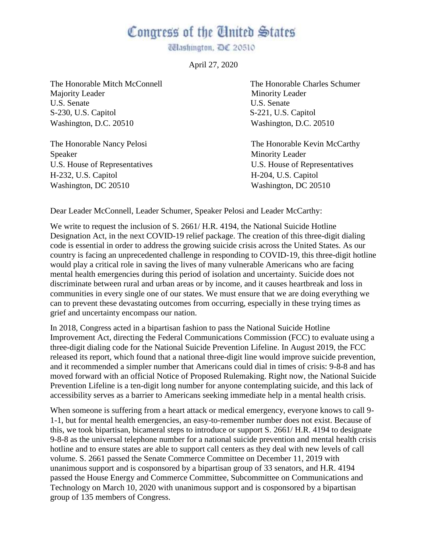## Congress of the United States

Ulashington, DC 20510

April 27, 2020

The Honorable Mitch McConnell The Honorable Charles Schumer Majority Leader Minority Leader U.S. Senate U.S. Senate S-230, U.S. Capitol S-221, U.S. Capitol Washington, D.C. 20510 Washington, D.C. 20510

The Honorable Nancy Pelosi Speaker U.S. House of Representatives H-232, U.S. Capitol Washington, DC 20510

The Honorable Kevin McCarthy Minority Leader U.S. House of Representatives H-204, U.S. Capitol Washington, DC 20510

Dear Leader McConnell, Leader Schumer, Speaker Pelosi and Leader McCarthy:

We write to request the inclusion of S. 2661/ H.R. 4194, the National Suicide Hotline Designation Act, in the next COVID-19 relief package. The creation of this three-digit dialing code is essential in order to address the growing suicide crisis across the United States. As our country is facing an unprecedented challenge in responding to COVID-19, this three-digit hotline would play a critical role in saving the lives of many vulnerable Americans who are facing mental health emergencies during this period of isolation and uncertainty. Suicide does not discriminate between rural and urban areas or by income, and it causes heartbreak and loss in communities in every single one of our states. We must ensure that we are doing everything we can to prevent these devastating outcomes from occurring, especially in these trying times as grief and uncertainty encompass our nation.

In 2018, Congress acted in a bipartisan fashion to pass the National Suicide Hotline Improvement Act, directing the Federal Communications Commission (FCC) to evaluate using a three-digit dialing code for the National Suicide Prevention Lifeline. In August 2019, the FCC released its report, which found that a national three-digit line would improve suicide prevention, and it recommended a simpler number that Americans could dial in times of crisis: 9-8-8 and has moved forward with an official Notice of Proposed Rulemaking. Right now, the National Suicide Prevention Lifeline is a ten-digit long number for anyone contemplating suicide, and this lack of accessibility serves as a barrier to Americans seeking immediate help in a mental health crisis.

When someone is suffering from a heart attack or medical emergency, everyone knows to call 9- 1-1, but for mental health emergencies, an easy-to-remember number does not exist. Because of this, we took bipartisan, bicameral steps to introduce or support S. 2661/ H.R. 4194 to designate 9-8-8 as the universal telephone number for a national suicide prevention and mental health crisis hotline and to ensure states are able to support call centers as they deal with new levels of call volume. S. 2661 passed the Senate Commerce Committee on December 11, 2019 with unanimous support and is cosponsored by a bipartisan group of 33 senators, and H.R. 4194 passed the House Energy and Commerce Committee, Subcommittee on Communications and Technology on March 10, 2020 with unanimous support and is cosponsored by a bipartisan group of 135 members of Congress.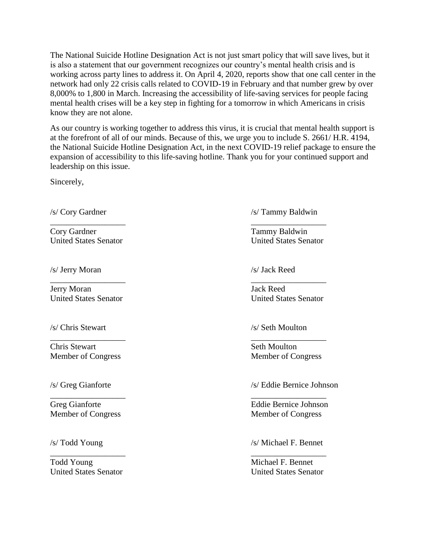The National Suicide Hotline Designation Act is not just smart policy that will save lives, but it is also a statement that our government recognizes our country's mental health crisis and is working across party lines to address it. On April 4, 2020, reports show that one call center in the network had only 22 crisis calls related to COVID-19 in February and that number grew by over 8,000% to 1,800 in March. Increasing the accessibility of life-saving services for people facing mental health crises will be a key step in fighting for a tomorrow in which Americans in crisis know they are not alone.

As our country is working together to address this virus, it is crucial that mental health support is at the forefront of all of our minds. Because of this, we urge you to include S. 2661/ H.R. 4194, the National Suicide Hotline Designation Act, in the next COVID-19 relief package to ensure the expansion of accessibility to this life-saving hotline. Thank you for your continued support and leadership on this issue.

 $\overline{\phantom{a}}$  , and the contract of the contract of the contract of the contract of the contract of the contract of the contract of the contract of the contract of the contract of the contract of the contract of the contrac

 $\overline{\phantom{a}}$  , and the contract of the contract of the contract of the contract of the contract of the contract of the contract of the contract of the contract of the contract of the contract of the contract of the contrac

 $\overline{\phantom{a}}$  , and the contract of the contract of the contract of the contract of the contract of the contract of the contract of the contract of the contract of the contract of the contract of the contract of the contrac

 $\overline{\phantom{a}}$  , and the contract of the contract of the contract of the contract of the contract of the contract of the contract of the contract of the contract of the contract of the contract of the contract of the contrac

 $\overline{\phantom{a}}$  , and the contract of the contract of the contract of the contract of the contract of the contract of the contract of the contract of the contract of the contract of the contract of the contract of the contrac

Sincerely,

Cory Gardner Tammy Baldwin United States Senator United States Senator

/s/ Jerry Moran /s/ Jack Reed

Jerry Moran Jack Reed United States Senator United States Senator

/s/ Chris Stewart /s/ Seth Moulton

Chris Stewart Seth Moulton Member of Congress Member of Congress

Member of Congress Member of Congress

Todd Young Michael F. Bennet United States Senator United States Senator

/s/ Cory Gardner /s/ Tammy Baldwin

/s/ Greg Gianforte /s/ Eddie Bernice Johnson

Greg Gianforte Eddie Bernice Johnson

/s/ Todd Young /s/ Michael F. Bennet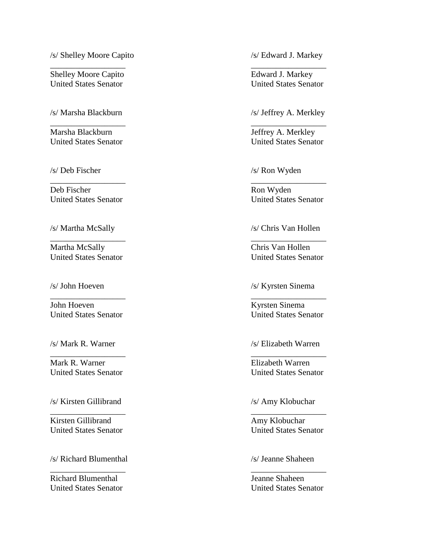/s/ Shelley Moore Capito /s/ Edward J. Markey

 $\overline{\phantom{a}}$  , and the contract of the contract of the contract of the contract of the contract of the contract of the contract of the contract of the contract of the contract of the contract of the contract of the contrac

 $\overline{\phantom{a}}$  , and the contract of the contract of the contract of the contract of the contract of the contract of the contract of the contract of the contract of the contract of the contract of the contract of the contrac

 $\overline{\phantom{a}}$  , and the contract of the contract of the contract of the contract of the contract of the contract of the contract of the contract of the contract of the contract of the contract of the contract of the contrac

 $\overline{\phantom{a}}$  , and the contract of the contract of the contract of the contract of the contract of the contract of the contract of the contract of the contract of the contract of the contract of the contract of the contrac

 $\overline{\phantom{a}}$  , and the contract of the contract of the contract of the contract of the contract of the contract of the contract of the contract of the contract of the contract of the contract of the contract of the contrac

 $\overline{\phantom{a}}$  , and the contract of the contract of the contract of the contract of the contract of the contract of the contract of the contract of the contract of the contract of the contract of the contract of the contrac

 $\overline{\phantom{a}}$  , and the contract of the contract of the contract of the contract of the contract of the contract of the contract of the contract of the contract of the contract of the contract of the contract of the contrac

 $\overline{\phantom{a}}$  , and the contract of the contract of the contract of the contract of the contract of the contract of the contract of the contract of the contract of the contract of the contract of the contract of the contrac

Shelley Moore Capito **Edward J. Markey** United States Senator United States Senator

/s/ Marsha Blackburn /s/ Jeffrey A. Merkley

Marsha Blackburn **International Community** Jeffrey A. Merkley

/s/ Deb Fischer /s/ Ron Wyden

Deb Fischer Ron Wyden

Martha McSally Chris Van Hollen United States Senator United States Senator

John Hoeven Kyrsten Sinema

Mark R. Warner Elizabeth Warren United States Senator United States Senator

/s/ Kirsten Gillibrand /s/ Amy Klobuchar

Kirsten Gillibrand Amy Klobuchar

/s/ Richard Blumenthal /s/ Jeanne Shaheen

Richard Blumenthal Jeanne Shaheen

United States Senator United States Senator

United States Senator United States Senator

/s/ Martha McSally /s/ Chris Van Hollen

/s/ John Hoeven /s/ Kyrsten Sinema

United States Senator United States Senator

/s/ Mark R. Warner /s/ Elizabeth Warren

United States Senator United States Senator

United States Senator United States Senator